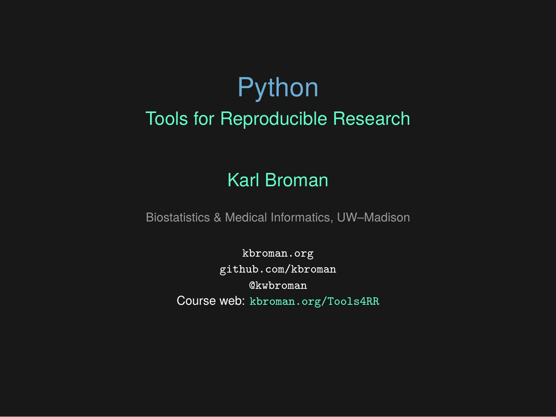## Python Tools for Reproducible Research

#### Karl Broman

Biostatistics & Medical Informatics, UW–Madison

kbroman.org github.com/kbroman @kwbroman Course web: kbroman.org/Tools4RR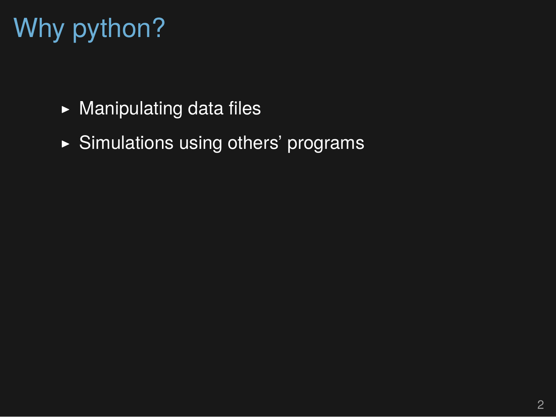# Why python?

- $\blacktriangleright$  Manipulating data files
- ▶ Simulations using others' programs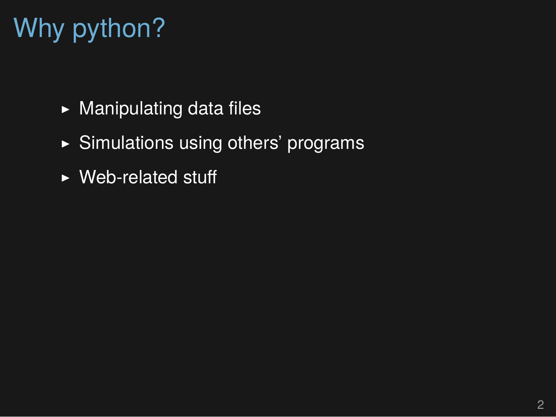# Why python?

- $\blacktriangleright$  Manipulating data files
- ▶ Simulations using others' programs
- $\triangleright$  Web-related stuff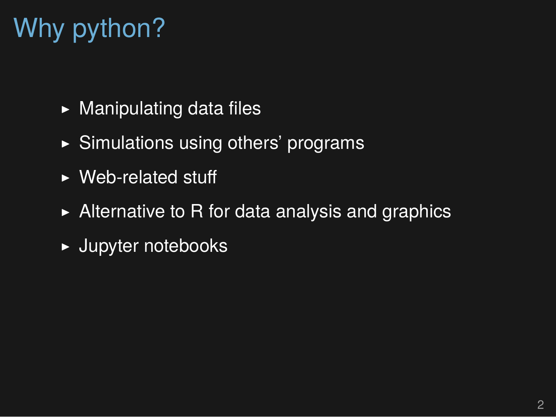# Why python?

- $\blacktriangleright$  Manipulating data files
- $\triangleright$  Simulations using others' programs
- ▶ Web-related stuff
- $\triangleright$  Alternative to R for data analysis and graphics
- ▶ Jupyter notebooks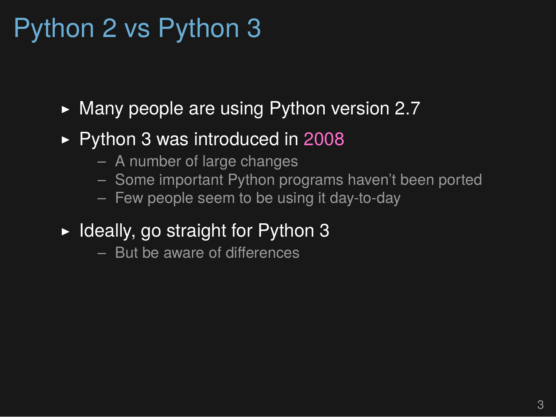## Python 2 vs Python 3

- $\blacktriangleright$  Many people are using Python version 2.7
- ▶ Python 3 was introduced in 2008
	- A number of large changes
	- Some important Python programs haven't been ported
	- Few people seem to be using it day-to-day
- $\blacktriangleright$  Ideally, go straight for Python 3
	- But be aware of differences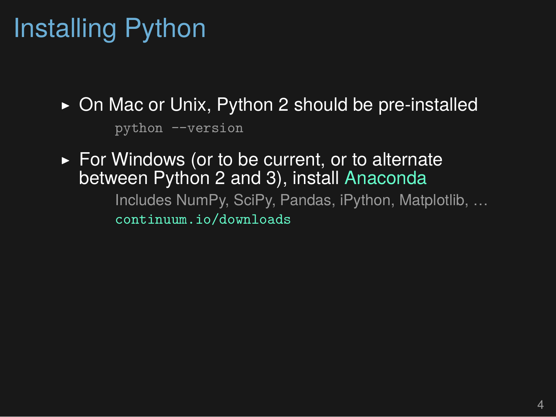# Installing Python

- ▶ On Mac or Unix, Python 2 should be pre-installed python --version
- ► For Windows (or to be current, or to alternate between Python 2 and 3), install Anaconda Includes NumPy, SciPy, Pandas, iPython, Matplotlib, …

continuum.io/downloads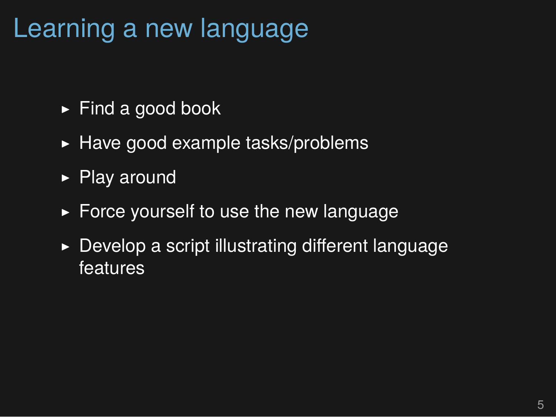## Learning a new language

- ▶ Find a good book
- $\blacktriangleright$  Have good example tasks/problems
- ▶ Play around
- $\triangleright$  Force yourself to use the new language
- $\triangleright$  Develop a script illustrating different language features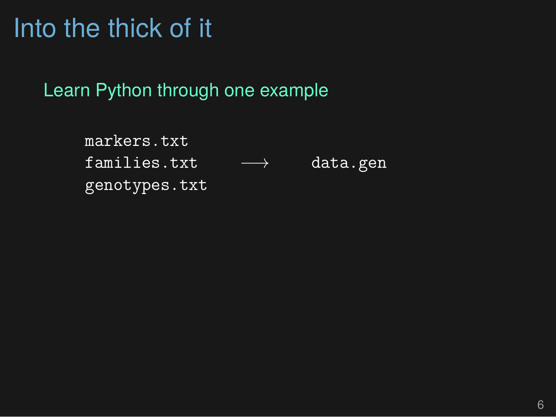## Into the thick of it

Learn Python through one example

markers.txt families.txt *−→* data.gen genotypes.txt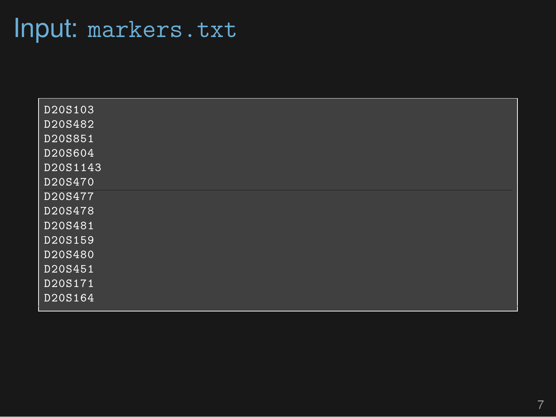## Input: markers.txt

| D20S103  |  |
|----------|--|
| D20S482  |  |
| D20S851  |  |
| D20S604  |  |
| D20S1143 |  |
| D20S470  |  |
| D20S477  |  |
| D20S478  |  |
| D20S481  |  |
| D20S159  |  |
| D20S480  |  |
| D20S451  |  |
| D20S171  |  |
| D20S164  |  |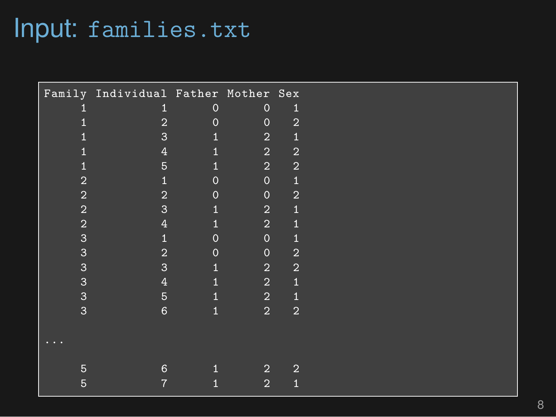## Input: families.txt

|                | Family Individual Father Mother Sex |                |                |                |  |
|----------------|-------------------------------------|----------------|----------------|----------------|--|
|                | 1                                   | $\mathbf 0$    | $\mathbf 0$    | $\mathbf{1}$   |  |
|                | $\overline{2}$                      | $\overline{0}$ | $\mathbf 0$    | $\overline{2}$ |  |
|                | 3                                   | $\mathbf{1}$   | $\sqrt{2}$     | 1              |  |
|                | $\overline{4}$                      | 1              | $\overline{2}$ | $\overline{2}$ |  |
|                | $5\phantom{.}$                      | $\mathbf{1}$   | $\overline{2}$ | $\overline{2}$ |  |
| $\overline{2}$ | $\mathbf{1}$                        | $\overline{0}$ | $\mathbf 0$    | $\overline{1}$ |  |
| $\overline{2}$ | $\overline{2}$                      | $\overline{0}$ | $\mathbf 0$    | $\overline{2}$ |  |
| $\overline{2}$ | 3                                   | 1              | $\overline{2}$ | 1              |  |
| $\overline{2}$ | 4                                   |                | $\overline{2}$ | 1              |  |
| 3              | 1                                   | $\overline{0}$ | $\mathbf 0$    | 1              |  |
| 3              | $\overline{2}$                      | $\overline{0}$ | $\mathbf 0$    | $\overline{2}$ |  |
| 3              | 3                                   | 1              | $\overline{2}$ | $\overline{2}$ |  |
| 3              | $\overline{4}$                      | 1              | $\sqrt{2}$     | $\overline{1}$ |  |
| 3              | 5                                   | 1              | $\overline{2}$ | $\overline{1}$ |  |
| 3              | $6\phantom{1}$                      | $\mathbf{1}$   | $\overline{2}$ | $\overline{2}$ |  |
|                |                                     |                |                |                |  |
|                |                                     |                |                |                |  |
|                |                                     |                |                |                |  |
| 5              | 6                                   |                | $\overline{2}$ | $\overline{2}$ |  |
| 5              | $\overline{7}$                      |                | 2              | 1              |  |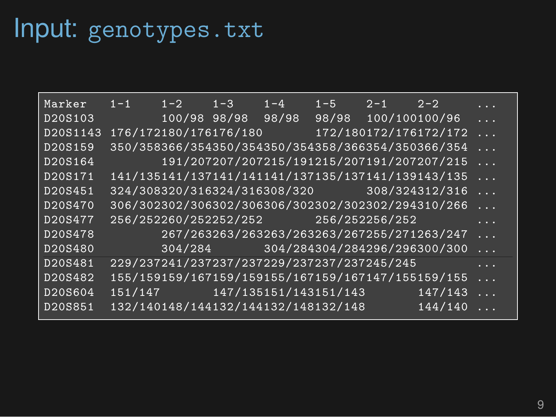# Input: genotypes.txt

| Marker   | $1 - 1$ | $1-2$                                      | $1 - 3$ | $1 - 4$        | $1-5$ $2-1$ $2-2$   |                                                   | $\cdots$ |
|----------|---------|--------------------------------------------|---------|----------------|---------------------|---------------------------------------------------|----------|
| D20S103  |         | 100/98 98/98                               |         | 98/98          | 98/98 100/100100/96 |                                                   | $\cdots$ |
| D20S1143 |         | 176/172180/176176/180                      |         | <u>a sa sa</u> |                     | 172/180172/176172/172                             | $\ldots$ |
| D20S159  |         |                                            |         |                |                     | 350/358366/354350/354350/354358/366354/350366/354 | $\ldots$ |
| D20S164  |         |                                            |         |                |                     | 191/207207/207215/191215/207191/207207/215        | $\ldots$ |
| D20S171  |         |                                            |         |                |                     | 141/135141/137141/141141/137135/137141/139143/135 | $\ldots$ |
| D20S451  |         |                                            |         |                |                     | 324/308320/316324/316308/320 308/324312/316       | $\ldots$ |
| D20S470  |         |                                            |         |                |                     | 306/302302/306302/306306/302302/302302/294310/266 | $\cdots$ |
| D20S477  |         | 256/252260/252252/252 256/252256/252       |         |                |                     |                                                   | .        |
| D20S478  |         |                                            |         |                |                     | 267/263263/263263/263263/267255/271263/247        | $\cdots$ |
| D20S480  |         |                                            |         |                |                     | 304/284 304/284304/284296/296300/300              | $\ldots$ |
| D20S481  |         | 229/237241/237237/237229/237237/237245/245 |         |                |                     |                                                   | $\cdots$ |
| D20S482  |         |                                            |         |                |                     | 155/159159/167159/159155/167159/167147/155159/155 | $\ldots$ |
| D20S604  |         |                                            |         |                |                     | 147/143                                           | $\ldots$ |
| D20S851  |         | 132/140148/144132/144132/148132/148        |         |                |                     | 144/140                                           | .        |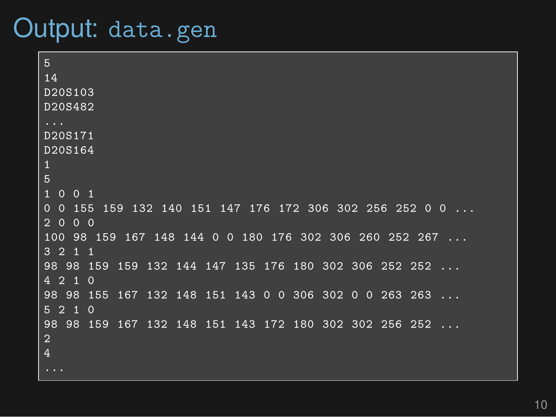### Output: data.gen

5 14 D20S103 D20S482 ... D20S171 D20S164 1 5 1 0 0 1 0 0 155 159 132 140 151 147 176 172 306 302 256 252 0 0 2 0 0 0 100 98 159 167 148 144 0 0 180 176 302 306 260 252 267 ...  $3 \t2 \t1 \t1$ 98 98 159 159 132 144 147 135 176 180 302 306 252 252 4 2 1 0 98 98 155 167 132 148 151 143 0 0 306 302 0 0 263 263 5 2 1 0 98 98 159 167 132 148 151 143 172 180 302 302 256 252 ... 2 4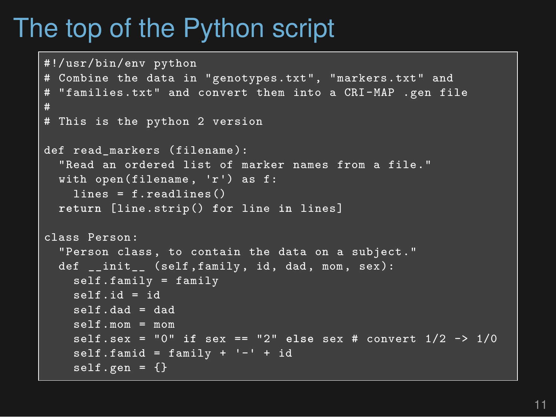## The top of the Python script

```
#!/usr/bin/env python
# Combine the data in "genotypes.txt", "markers.txt" and
# "families.txt" and convert them into a CRI-MAP .gen file
#
# This is the python 2 version
def read markers (filename):
  "Read an ordered list of marker names from a file."
  with open(filename , 'r') as f:
    lines = f.readlines()
  return [line.strip() for line in lines]
class Person:
  "Person class, to contain the data on a subject."
  def __init__ (self,family, id, dad, mom, sex):
    self.family = family
    s = h \mathbf{i} d = id
    self.dad = dad
    self.mom = mom
    self.sex = "0" if sex == "2" else sex # convert 1/2 -> 1/0
    self.famid = family + '-' + idself.gen = {}
```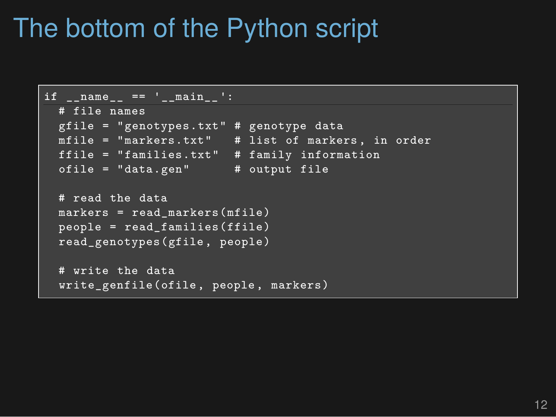## The bottom of the Python script

```
if name == 'main ':
 # file names
 gfile = "genotypes.txt" # genotype data
 mfile = "markers.txt" # list of markers , in order
 ffile = "families.txt" # family information
 ofile = "data.gen" # output file
 # read the data
 markers = read_markers(mfile)
 people = read_families(ffile)
 read_genotypes(gfile, people)
 # write the data
  write genfile(ofile, people, markers)
```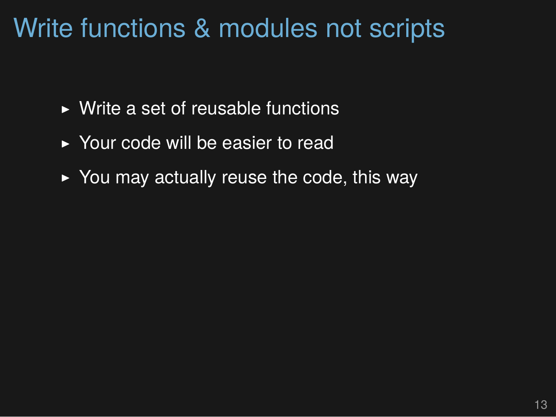## Write functions & modules not scripts

- $\triangleright$  Write a set of reusable functions
- ▶ Your code will be easier to read
- $\rightarrow$  You may actually reuse the code, this way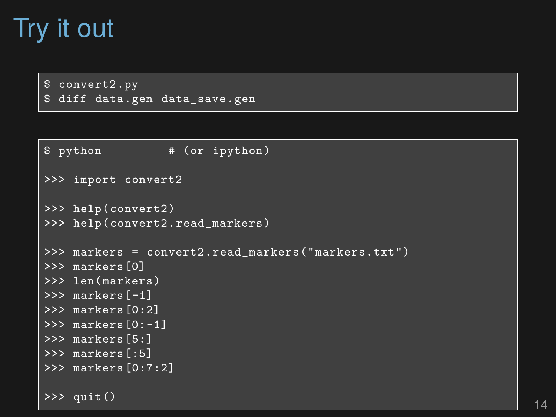## Try it out

\$ convert2.py \$ diff data.gen data save.gen

```
$ python # (or ipython)
>>> import convert2
>>> help(convert2)
>>> help(convert2.read_markers)
>>> markers = convert2.read_markers("markers.txt")
>>> markers[0]
>>> len(markers)
>>> markers[-1]
>>> markers[0:2]
>>> markers[0:-1]
>>> markers[5:]
>>> markers[:5]
>>> markers[0:7:2]
\frac{25}{2} quit() 14
```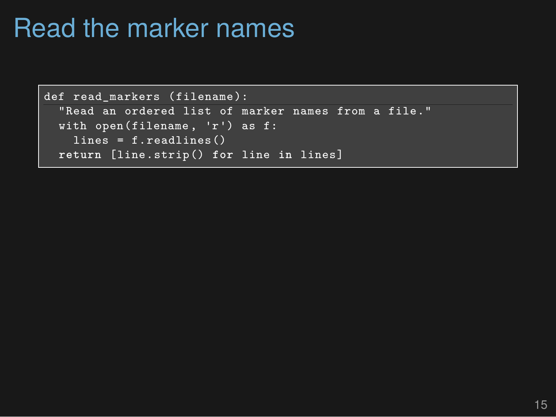## Read the marker names

```
def read markers (filename):
  "Read an ordered list of marker names from a file."
  with open(filename , 'r') as f:
    lines = f.readlines()return [line.strip() for line in lines]
```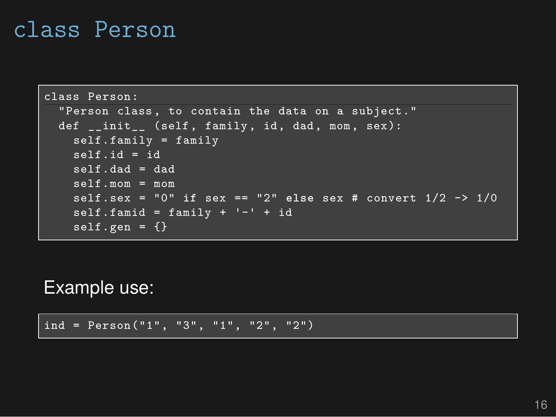#### class Person

```
class Person:
  "Person class, to contain the data on a subject."
  def __init__ (self, family, id, dad, mom, sex):
    self.family = family
    self_id = idself.dad = dad
    self.mom = mom
    self.sex = "0" if sex == "2" else sex # convert 1/2 -> 1/0
    self.famid = family + -1 + id
    \sqrt{\text{self}} \cdot \text{gen} = \{\}
```
#### Example use:

ind = Person("1", "3", "1", "2", "2")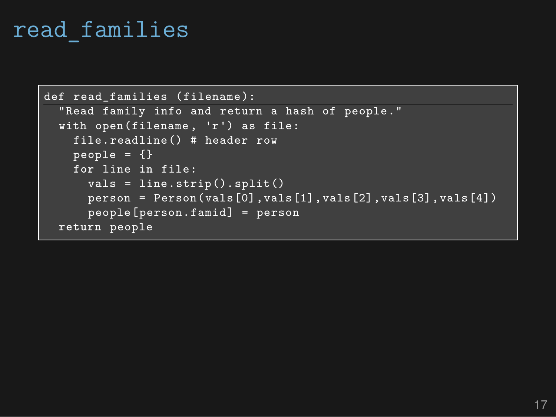#### read\_families

```
def read families (filename):
  "Read family info and return a hash of people."
  with open(filename , 'r') as file:
    file.readline() # header row
    people = \{\}for line in file:
      vals = line.strip().split()
      person = Person(vals[0],vals[1],vals[2],vals[3],vals[4])
      people[person.famid] = person
 return people
```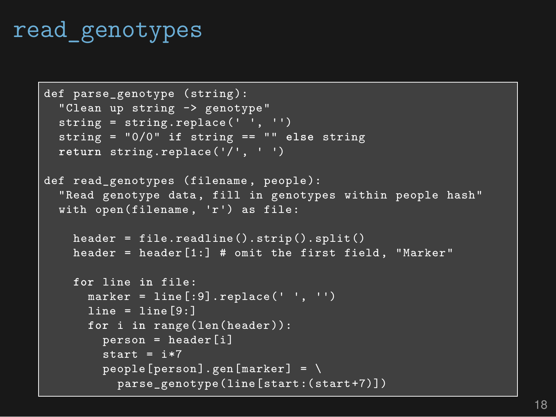### read\_genotypes

```
def parse_genotype (string):
  "Clean up string -> genotype"
  string = string.replace(' ', '')string = "0/0" if string == "" else string
 return string.replace('/', ' ')
def read genotypes (filename, people):
  "Read genotype data, fill in genotypes within people hash"
 with open(filename , 'r') as file:
    header = file.readline().strip().split()
    header = header[1:] # omit the first field, "Marker"
    for line in file:
      marker = line[:9].replace(' ', '')
      line = line[9:1]for i in range(len(header)):
        person = header[i]
        start = i*7people[person].gen[marker] = \sqrt{}parse_genotype(line[start:(start+7)])
```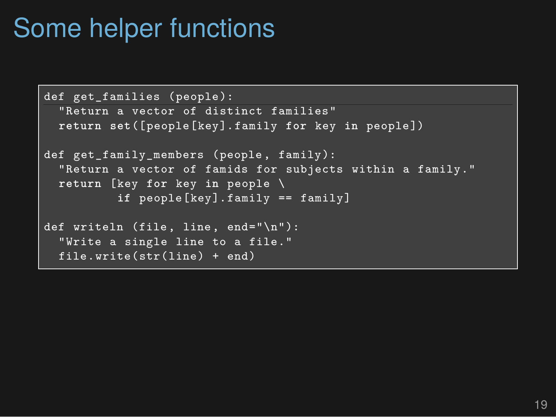## Some helper functions

```
def get families (people):
  "Return a vector of distinct families"
 return set([people[key].family for key in people])
def get_family_members (people, family):
  "Return a vector of famids for subjects within a family."
 return [key for key in people \
          if people[key].family == family]
def writeln (file, line, end="\n"):
  "Write a single line to a file."
 file.write(str(line) + end)
```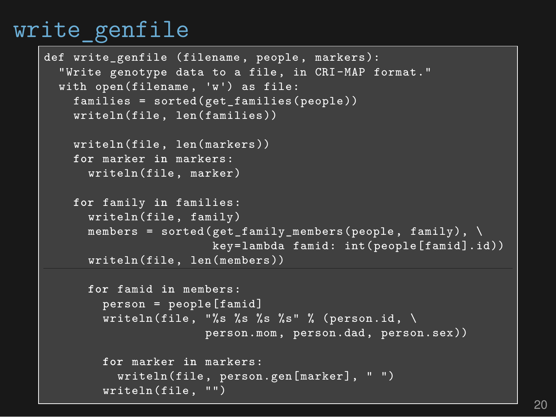#### write genfile

```
def write_genfile (filename , people, markers):
  "Write genotype data to a file, in CRI-MAP format."
  with open(filename , 'w') as file:
    families = sorted(get_families(people))
    writeln(file, len(families))
    writeln(file, len(markers))
    for marker in markers:
      writeln(file, marker)
    for family in families:
      writeln(file, family)
      members = sorted(get_family_members(people, family), \
                       key=lambda famid: int(people[famid].id))
      writeln(file, len(members))
      for famid in members:
        person = people[famid]
        writeln(file, "%s %s %s %s" % (person.id, \
                      person.mom, person.dad, person.sex))
        for marker in markers:
          writeln(file, person.gen[marker], " ")
        writeln(file, "")
```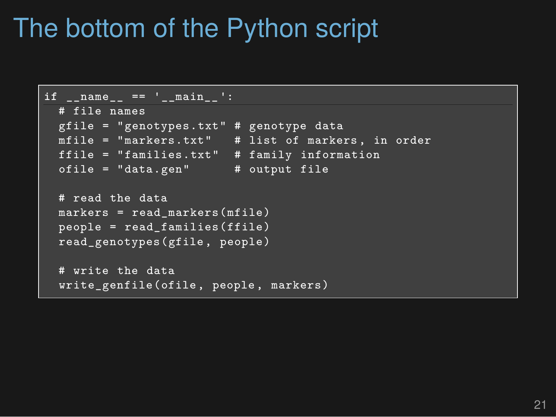## The bottom of the Python script

```
if name == 'main ':
 # file names
 gfile = "genotypes.txt" # genotype data
 mfile = "markers.txt" # list of markers , in order
 ffile = "families.txt" # family information
 ofile = "data.gen" # output file
 # read the data
 markers = read_markers(mfile)
 people = read_families(ffile)
 read_genotypes(gfile, people)
 # write the data
  write genfile(ofile, people, markers)
```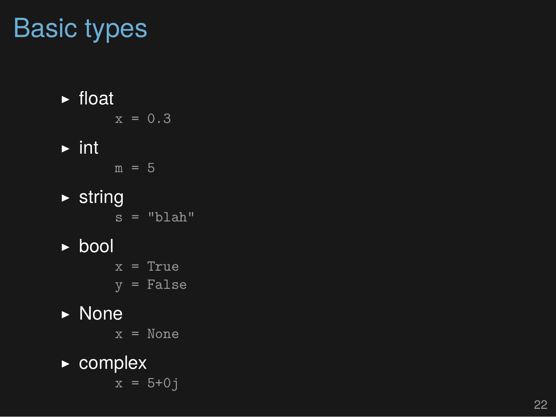## Basic types

▶ float

$$
x = 0.3
$$

 $\blacktriangleright$  int

 $m = 5$ 

- $\triangleright$  string
	- $s = "blah"$
- ▶ bool
	- $x = True$  $y = False$
- ▶ None
	- x = None
- ▶ complex  $x = 5 + 0j$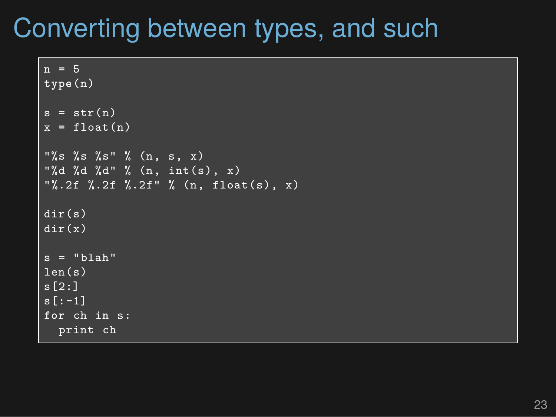## Converting between types, and such

```
\overline{n} = 5
type(n)
s = str(n)x = float(n)"%s %s %s" % (n, s, x)
"%d %d %d" % (n, int(s), x)
"%.2f %.2f %.2f" % (n, float(s), x)
dir(s)
dir(x)
s = "blab"len(s)
s[2:]
s[:-1]
for ch in s:
  print ch
```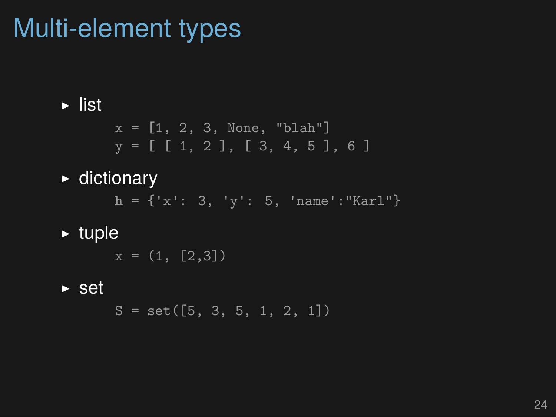## Multi-element types

#### $\blacktriangleright$  list

 $x = [1, 2, 3, None, "blank"]$  $y = [ [ 1, 2 ], [ 3, 4, 5 ], 6 ]$ 

#### ▶ dictionary

 $h = \{ 'x': 3, 'y': 5, 'name': "Karl" \}$ 

#### $\blacktriangleright$  tuple

 $x = (1, [2,3])$ 

#### $\triangleright$  set

 $S = set([5, 3, 5, 1, 2, 1])$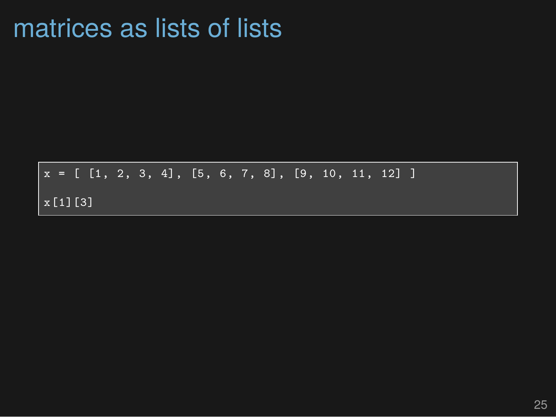### matrices as lists of lists

 $x = [\begin{array}{ccc} 1, & 2, & 3, & 4 \end{array}]$ , [5, 6, 7, 8], [9, 10, 11, 12] ] x[1][3]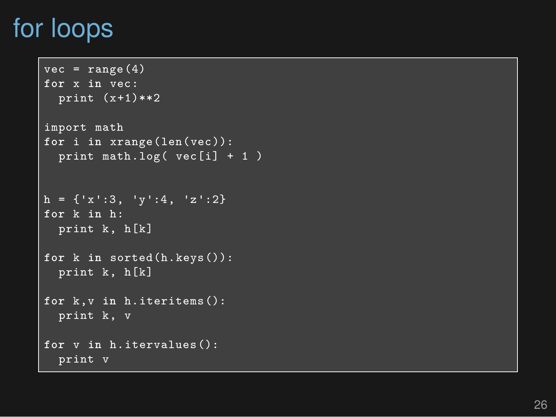## for loops

```
vec = range(4)for
x in vec:
  print (x+1)**2
import math
for
i in xrange(len(vec)):
  print math.log( vec[i] + 1 )
h = \{x':3, 'y':4, 'z':2\}for
k in h:
  print k, h[k]
for
k in sorted(h.keys()):
  print k, h[k]
for k,v in h.iteritems():
  print k, v
for
v in h.itervalues():
  print v
```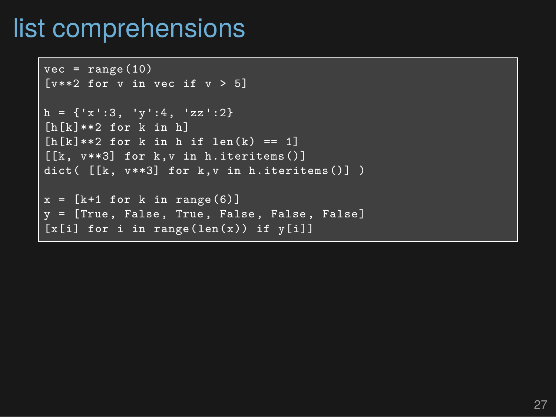## list comprehensions

```
vec = range(10)[v**2 for v in vec if v > 5]
h = \{x':3, 'y':4, 'zz':2\}[h[k]**2 for k in h]
[h[k]**2 for k in h if len(k) == 1]
[[k, v**3] for k,v in h.iteritems()]
dict( [[k, v**3] for k,v in h.iteritems()] )
x = [k+1 \text{ for } k \text{ in } range(6)]y = [True, False, True, False, False, False]
[x[i] for i in range(len(x)) if y[i]]
```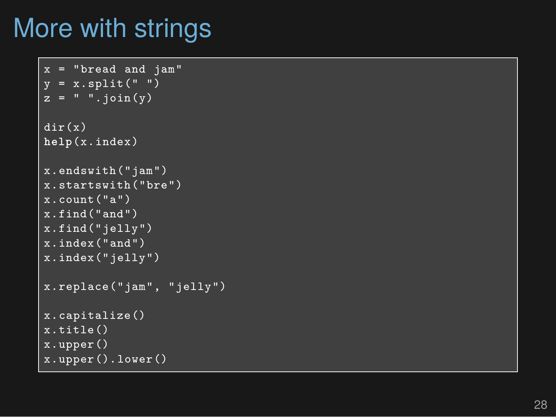## More with strings

```
x = "bread and jam"
y = x.split("")z = " " .join(y)dir(x)
help(x.index)
x.endswith("jam")
x.startswith("bre")
x.count("a")
x.find("and")
x.find("jelly")
x.index("and")
x.index("jelly")
x.replace("jam", "jelly")
x.capitalize()
x.title()
x.upper()
x.upper().lower()
```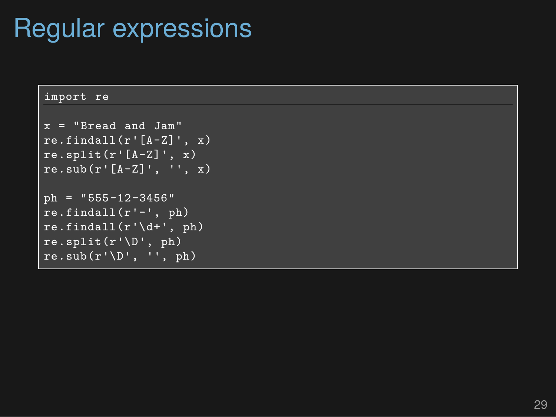## Regular expressions

```
import re
x = "Bread and Jam"
re.findall(r'[A-Z]'', x)re.split(r'[A-Z]', x)re.sub(r'[A-Z]'', '', x)ph = "555-12-3456"
re.findall(r'-', ph)re.findall(r'\ddot{d}+', ph)re.split(r'\D', ph)re.sub(r'\D', '', ph)
```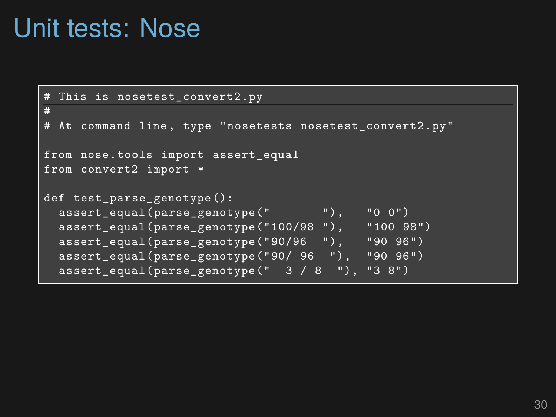### Unit tests: Nose

```
This is nosetest convert2.py
#
# At command line, type "nosetests nosetest_convert2.py"
from nose.tools import assert_equal
from convert2 import *
def test_parse_genotype():
 assert_equal(parse_genotype(" "), "0 0")
 assert_equal(parse_genotype("100/98 "), "100 98")
 assert_equal(parse_genotype("90/96 "), "90 96")
 assert_equal(parse_genotype("90/ 96 "), "90 96")
 \texttt{assert\_equal}(\texttt{parse\_genotype(" 3 / 8 ")}, "3 8")
```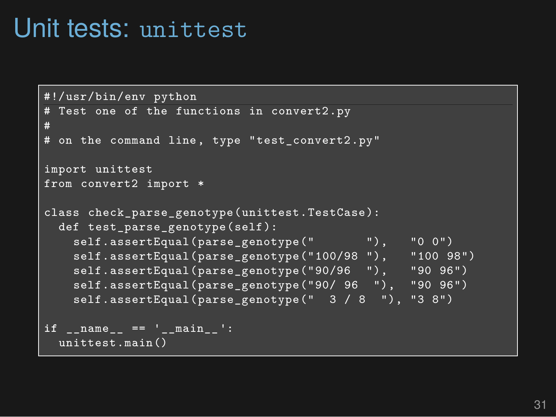### Unit tests: unittest

```
#!/usr/bin/env python
# Test one of the functions in convert2.py
#
# on the command line, type "test_convert2.py"
import unittest
from convert2 import *
class check parse genotype(unittest.TestCase):
 def test_parse_genotype(self):
   self.assertEqual(parse_genotype(" "), "0 0")
   self.assertEqual(parse_genotype("100/98 "), "100 98")
   self.assertEqual(parse_genotype("90/96 "), "90 96")
   self.assertEqual(parse_genotype("90/ 96 "), "90 96")
   self.assertEqual(parse_genotype(" 3 / 8 "), "3 8")
if name == 'main ':
 unittest.main()
```